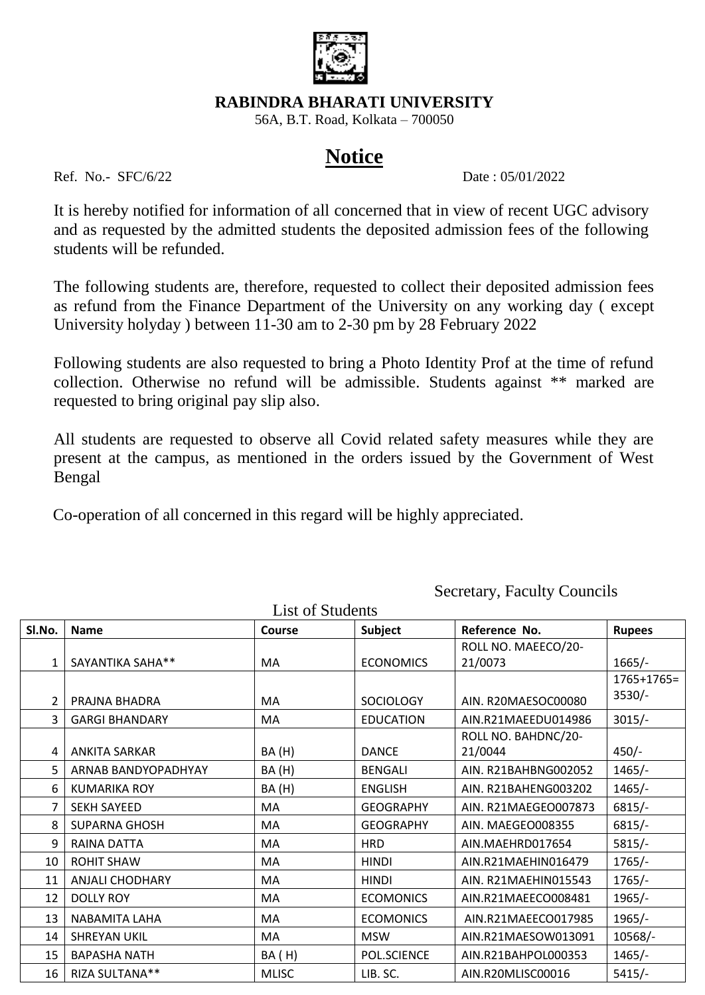

## **RABINDRA BHARATI UNIVERSITY**

56A, B.T. Road, Kolkata – 700050

## **Notice**

Ref. No.- SFC/6/22 Date: 05/01/2022

It is hereby notified for information of all concerned that in view of recent UGC advisory and as requested by the admitted students the deposited admission fees of the following students will be refunded.

The following students are, therefore, requested to collect their deposited admission fees as refund from the Finance Department of the University on any working day ( except University holyday ) between 11-30 am to 2-30 pm by 28 February 2022

Following students are also requested to bring a Photo Identity Prof at the time of refund collection. Otherwise no refund will be admissible. Students against \*\* marked are requested to bring original pay slip also.

All students are requested to observe all Covid related safety measures while they are present at the campus, as mentioned in the orders issued by the Government of West Bengal

Co-operation of all concerned in this regard will be highly appreciated.

List of Students

| SI.No.       | <b>Name</b>            | Course        | <b>Subject</b>   | Reference No.        | <b>Rupees</b> |
|--------------|------------------------|---------------|------------------|----------------------|---------------|
|              |                        |               |                  | ROLL NO. MAEECO/20-  |               |
| $\mathbf{1}$ | SAYANTIKA SAHA**       | MA            | <b>ECONOMICS</b> | 21/0073              | $1665/-$      |
|              |                        |               |                  |                      | 1765+1765=    |
| 2            | PRAJNA BHADRA          | MA            | <b>SOCIOLOGY</b> | AIN. R20MAESOC00080  | $3530/-$      |
| 3            | <b>GARGI BHANDARY</b>  | MA            | <b>EDUCATION</b> | AIN.R21MAEEDU014986  | $3015/-$      |
|              |                        |               |                  | ROLL NO. BAHDNC/20-  |               |
| 4            | <b>ANKITA SARKAR</b>   | BA (H)        | <b>DANCE</b>     | 21/0044              | $450/-$       |
| 5.           | ARNAB BANDYOPADHYAY    | BA(H)         | <b>BENGALI</b>   | AIN. R21BAHBNG002052 | $1465/-$      |
| 6            | <b>KUMARIKA ROY</b>    | BA (H)        | <b>ENGLISH</b>   | AIN. R21BAHENG003202 | $1465/-$      |
| 7            | <b>SEKH SAYEED</b>     | MA            | <b>GEOGRAPHY</b> | AIN. R21MAEGEO007873 | $6815/-$      |
| 8            | <b>SUPARNA GHOSH</b>   | МA            | <b>GEOGRAPHY</b> | AIN. MAEGEO008355    | $6815/-$      |
| 9            | RAINA DATTA            | MA            | <b>HRD</b>       | AIN.MAEHRD017654     | $5815/-$      |
| 10           | <b>ROHIT SHAW</b>      | MA            | <b>HINDI</b>     | AIN.R21MAEHIN016479  | $1765/-$      |
| 11           | <b>ANJALI CHODHARY</b> | MA            | <b>HINDI</b>     | AIN. R21MAEHIN015543 | $1765/-$      |
| 12           | <b>DOLLY ROY</b>       | MA            | <b>ECOMONICS</b> | AIN.R21MAEECO008481  | $1965/-$      |
| 13           | NABAMITA LAHA          | MA            | <b>ECOMONICS</b> | AIN.R21MAEECO017985  | $1965/-$      |
| 14           | <b>SHREYAN UKIL</b>    | MA            | <b>MSW</b>       | AIN.R21MAESOW013091  | 10568/-       |
| 15           | <b>BAPASHA NATH</b>    | <b>BA</b> (H) | POL.SCIENCE      | AIN.R21BAHPOL000353  | $1465/-$      |
| 16           | RIZA SULTANA**         | <b>MLISC</b>  | LIB. SC.         | AIN.R20MLISC00016    | $5415/-$      |

Secretary, Faculty Councils